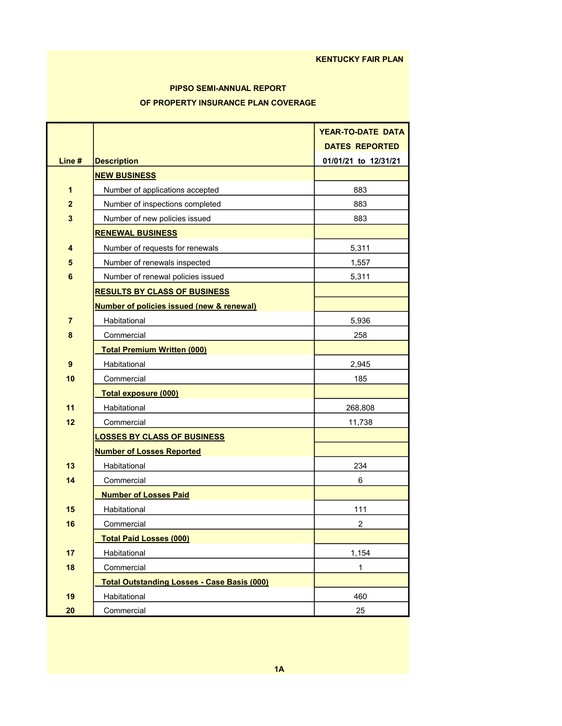#### KENTUCKY FAIR PLAN

## PIPSO SEMI-ANNUAL REPORT OF PROPERTY INSURANCE PLAN COVERAGE

|                |                                                      | <b>YEAR-TO-DATE DATA</b> |
|----------------|------------------------------------------------------|--------------------------|
|                |                                                      | <b>DATES REPORTED</b>    |
| Line #         | <b>Description</b>                                   | 01/01/21 to 12/31/21     |
|                | <b>NEW BUSINESS</b>                                  |                          |
| 1              | Number of applications accepted                      | 883                      |
| $\overline{2}$ | Number of inspections completed                      | 883                      |
| 3              | Number of new policies issued                        | 883                      |
|                | <b>RENEWAL BUSINESS</b>                              |                          |
| 4              | Number of requests for renewals                      | 5,311                    |
| 5              | Number of renewals inspected                         | 1,557                    |
| 6              | Number of renewal policies issued                    | 5,311                    |
|                | <b>RESULTS BY CLASS OF BUSINESS</b>                  |                          |
|                | <b>Number of policies issued (new &amp; renewal)</b> |                          |
| $\overline{7}$ | Habitational                                         | 5,936                    |
| 8              | Commercial                                           | 258                      |
|                | <b>Total Premium Written (000)</b>                   |                          |
| 9              | Habitational                                         | 2,945                    |
| 10             | Commercial                                           | 185                      |
|                | <b>Total exposure (000)</b>                          |                          |
| 11             | Habitational                                         | 268,808                  |
| 12             | Commercial                                           | 11,738                   |
|                | <b>LOSSES BY CLASS OF BUSINESS</b>                   |                          |
|                | <b>Number of Losses Reported</b>                     |                          |
| 13             | Habitational                                         | 234                      |
| 14             | Commercial                                           | 6                        |
|                | <b>Number of Losses Paid</b>                         |                          |
| 15             | Habitational                                         | 111                      |
| 16             | Commercial                                           | $\overline{2}$           |
|                | <b>Total Paid Losses (000)</b>                       |                          |
| 17             | Habitational                                         | 1,154                    |
| 18             | Commercial                                           | $\mathbf{1}$             |
|                | <b>Total Outstanding Losses - Case Basis (000)</b>   |                          |
| 19             | Habitational                                         | 460                      |
| 20             | Commercial                                           | 25                       |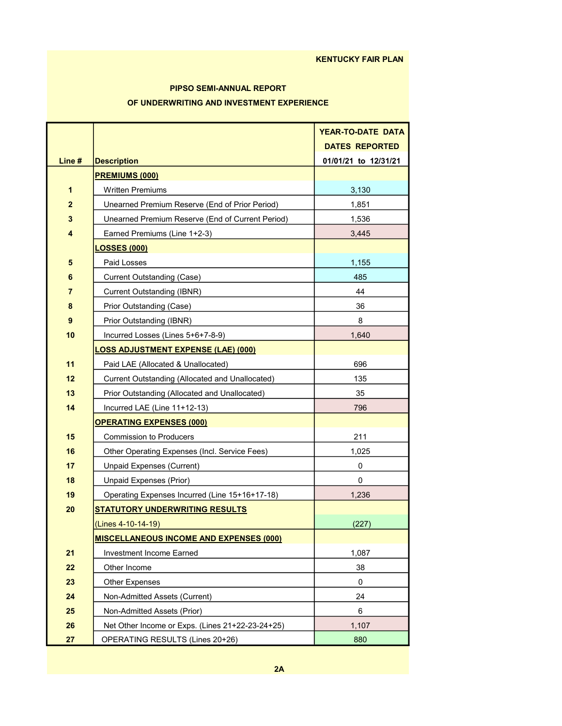## PIPSO SEMI-ANNUAL REPORT OF UNDERWRITING AND INVESTMENT EXPERIENCE

|                  |                                                  | <b>YEAR-TO-DATE DATA</b> |
|------------------|--------------------------------------------------|--------------------------|
|                  |                                                  | <b>DATES REPORTED</b>    |
| Line #           | <b>Description</b>                               | 01/01/21 to 12/31/21     |
|                  | <b>PREMIUMS (000)</b>                            |                          |
| 1                | <b>Written Premiums</b>                          | 3,130                    |
| $\overline{2}$   | Unearned Premium Reserve (End of Prior Period)   | 1,851                    |
| 3                | Unearned Premium Reserve (End of Current Period) | 1,536                    |
| 4                | Earned Premiums (Line 1+2-3)                     | 3,445                    |
|                  | <b>LOSSES (000)</b>                              |                          |
| 5                | Paid Losses                                      | 1,155                    |
| 6                | Current Outstanding (Case)                       | 485                      |
| $\overline{7}$   | Current Outstanding (IBNR)                       | 44                       |
| 8                | Prior Outstanding (Case)                         | 36                       |
| $\boldsymbol{9}$ | Prior Outstanding (IBNR)                         | 8                        |
| 10               | Incurred Losses (Lines 5+6+7-8-9)                | 1.640                    |
|                  | <b>LOSS ADJUSTMENT EXPENSE (LAE) (000)</b>       |                          |
| 11               | Paid LAE (Allocated & Unallocated)               | 696                      |
| 12               | Current Outstanding (Allocated and Unallocated)  | 135                      |
| 13               | Prior Outstanding (Allocated and Unallocated)    | 35                       |
| 14               | Incurred LAE (Line 11+12-13)                     | 796                      |
|                  | <b>OPERATING EXPENSES (000)</b>                  |                          |
| 15               | <b>Commission to Producers</b>                   | 211                      |
| 16               | Other Operating Expenses (Incl. Service Fees)    | 1,025                    |
| 17               | Unpaid Expenses (Current)                        | 0                        |
| 18               | Unpaid Expenses (Prior)                          | 0                        |
| 19               | Operating Expenses Incurred (Line 15+16+17-18)   | 1,236                    |
| 20               | <b>STATUTORY UNDERWRITING RESULTS</b>            |                          |
|                  | (Lines 4-10-14-19)                               | (227)                    |
|                  | <b>MISCELLANEOUS INCOME AND EXPENSES (000)</b>   |                          |
| 21               | Investment Income Earned                         | 1,087                    |
| 22               | Other Income                                     | 38                       |
| 23               | <b>Other Expenses</b>                            | 0                        |
| 24               | Non-Admitted Assets (Current)                    | 24                       |
| 25               | Non-Admitted Assets (Prior)                      | 6                        |
| 26               | Net Other Income or Exps. (Lines 21+22-23-24+25) | 1,107                    |
| 27               | OPERATING RESULTS (Lines 20+26)                  | 880                      |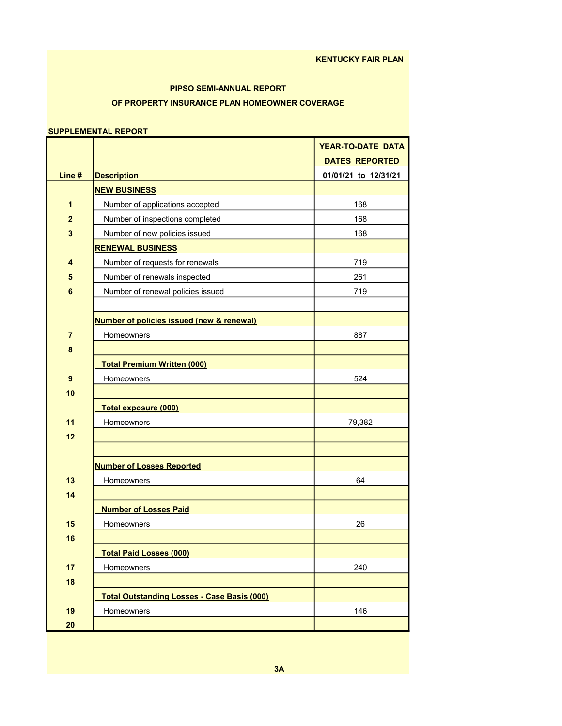## OF PROPERTY INSURANCE PLAN HOMEOWNER COVERAGE PIPSO SEMI-ANNUAL REPORT

#### SUPPLEMENTAL REPORT

|                |                                                      | <b>YEAR-TO-DATE DATA</b> |
|----------------|------------------------------------------------------|--------------------------|
|                |                                                      | <b>DATES REPORTED</b>    |
| Line#          | <b>Description</b>                                   | 01/01/21 to 12/31/21     |
|                | <b>NEW BUSINESS</b>                                  |                          |
| 1              | Number of applications accepted                      | 168                      |
| $\overline{2}$ | Number of inspections completed                      | 168                      |
| 3              | Number of new policies issued                        | 168                      |
|                | <b>RENEWAL BUSINESS</b>                              |                          |
| 4              | Number of requests for renewals                      | 719                      |
| 5              | Number of renewals inspected                         | 261                      |
| $6\phantom{1}$ | Number of renewal policies issued                    | 719                      |
|                |                                                      |                          |
|                | <b>Number of policies issued (new &amp; renewal)</b> |                          |
| $\overline{7}$ | Homeowners                                           | 887                      |
| 8              |                                                      |                          |
|                | <b>Total Premium Written (000)</b>                   |                          |
| 9              | Homeowners                                           | 524                      |
| 10             |                                                      |                          |
|                | Total exposure (000)                                 |                          |
| 11             | Homeowners                                           | 79,382                   |
| 12             |                                                      |                          |
|                |                                                      |                          |
|                | <b>Number of Losses Reported</b>                     |                          |
| 13             | Homeowners                                           | 64                       |
| 14             |                                                      |                          |
|                | <b>Number of Losses Paid</b>                         |                          |
| 15             | Homeowners                                           | 26                       |
| 16             |                                                      |                          |
|                | <b>Total Paid Losses (000)</b>                       |                          |
| 17             | Homeowners                                           | 240                      |
| 18             |                                                      |                          |
|                | <b>Total Outstanding Losses - Case Basis (000)</b>   |                          |
| 19             | Homeowners                                           | 146                      |
| 20             |                                                      |                          |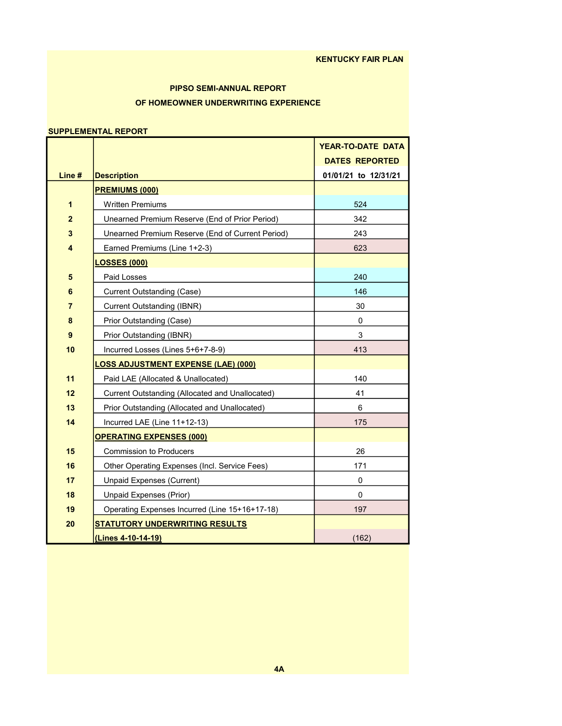## PIPSO SEMI-ANNUAL REPORT OF HOMEOWNER UNDERWRITING EXPERIENCE

#### SUPPLEMENTAL REPORT

|                  |                                                  | <b>YEAR-TO-DATE DATA</b> |
|------------------|--------------------------------------------------|--------------------------|
|                  |                                                  | <b>DATES REPORTED</b>    |
| Line#            | <b>Description</b>                               | 01/01/21 to 12/31/21     |
|                  | <b>PREMIUMS (000)</b>                            |                          |
| 1                | <b>Written Premiums</b>                          | 524                      |
| $\overline{2}$   | Unearned Premium Reserve (End of Prior Period)   | 342                      |
| 3                | Unearned Premium Reserve (End of Current Period) | 243                      |
| 4                | Earned Premiums (Line 1+2-3)                     | 623                      |
|                  | <b>LOSSES</b> (000)                              |                          |
| 5                | Paid Losses                                      | 240                      |
| 6                | <b>Current Outstanding (Case)</b>                | 146                      |
| 7                | <b>Current Outstanding (IBNR)</b>                | 30                       |
| 8                | Prior Outstanding (Case)                         | 0                        |
| $\boldsymbol{9}$ | Prior Outstanding (IBNR)                         | 3                        |
| 10               | Incurred Losses (Lines 5+6+7-8-9)                | 413                      |
|                  | <u>LOSS ADJUSTMENT EXPENSE (LAE) (000)</u>       |                          |
| 11               | Paid LAE (Allocated & Unallocated)               | 140                      |
| 12               | Current Outstanding (Allocated and Unallocated)  | 41                       |
| 13               | Prior Outstanding (Allocated and Unallocated)    | 6                        |
| 14               | Incurred LAE (Line 11+12-13)                     | 175                      |
|                  | <b>OPERATING EXPENSES (000)</b>                  |                          |
| 15               | <b>Commission to Producers</b>                   | 26                       |
| 16               | Other Operating Expenses (Incl. Service Fees)    | 171                      |
| 17               | Unpaid Expenses (Current)                        | 0                        |
| 18               | <b>Unpaid Expenses (Prior)</b>                   | $\mathbf 0$              |
| 19               | Operating Expenses Incurred (Line 15+16+17-18)   | 197                      |
| 20               | <b>STATUTORY UNDERWRITING RESULTS</b>            |                          |
|                  | (Lines 4-10-14-19)                               | (162)                    |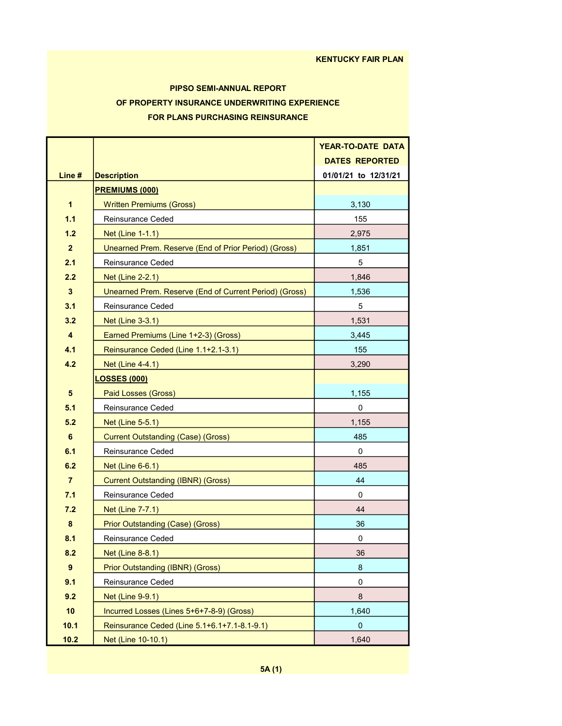# PIPSO SEMI-ANNUAL REPORT OF PROPERTY INSURANCE UNDERWRITING EXPERIENCE FOR PLANS PURCHASING REINSURANCE

|                         |                                                        | <b>YEAR-TO-DATE DATA</b> |
|-------------------------|--------------------------------------------------------|--------------------------|
|                         |                                                        | <b>DATES REPORTED</b>    |
| Line #                  | <b>Description</b>                                     | 01/01/21 to 12/31/21     |
|                         | <b>PREMIUMS (000)</b>                                  |                          |
| $\mathbf 1$             | <b>Written Premiums (Gross)</b>                        | 3,130                    |
| 1.1                     | Reinsurance Ceded                                      | 155                      |
| 1.2                     | Net (Line 1-1.1)                                       | 2,975                    |
| 2 <sup>2</sup>          | Unearned Prem. Reserve (End of Prior Period) (Gross)   | 1,851                    |
| 2.1                     | Reinsurance Ceded                                      | 5                        |
| 2.2                     | Net (Line 2-2.1)                                       | 1,846                    |
| $\mathbf{3}$            | Unearned Prem. Reserve (End of Current Period) (Gross) | 1,536                    |
| 3.1                     | Reinsurance Ceded                                      | 5                        |
| 3.2                     | <b>Net (Line 3-3.1)</b>                                | 1,531                    |
| $\overline{\mathbf{4}}$ | Earned Premiums (Line 1+2-3) (Gross)                   | 3,445                    |
| 4.1                     | Reinsurance Ceded (Line 1.1+2.1-3.1)                   | 155                      |
| 4.2                     | Net (Line 4-4.1)                                       | 3,290                    |
|                         | <b>LOSSES (000)</b>                                    |                          |
| 5                       | Paid Losses (Gross)                                    | 1,155                    |
| 5.1                     | Reinsurance Ceded                                      | $\mathbf{0}$             |
| 5.2                     | Net (Line 5-5.1)                                       | 1,155                    |
| 6                       | <b>Current Outstanding (Case) (Gross)</b>              | 485                      |
| 6.1                     | Reinsurance Ceded                                      | 0                        |
| 6.2                     | Net (Line 6-6.1)                                       | 485                      |
| $\overline{7}$          | <b>Current Outstanding (IBNR) (Gross)</b>              | 44                       |
| 7.1                     | Reinsurance Ceded                                      | 0                        |
| 7.2                     | Net (Line 7-7.1)                                       | 44                       |
| $\bf 8$                 | <b>Prior Outstanding (Case) (Gross)</b>                | 36                       |
| 8.1                     | Reinsurance Ceded                                      | 0                        |
| 8.2                     | <b>Net (Line 8-8.1)</b>                                | 36                       |
| 9                       | Prior Outstanding (IBNR) (Gross)                       | 8                        |
| 9.1                     | Reinsurance Ceded                                      | 0                        |
| 9.2                     | <b>Net (Line 9-9.1)</b>                                | 8                        |
| 10                      | Incurred Losses (Lines 5+6+7-8-9) (Gross)              | 1,640                    |
| 10.1                    | Reinsurance Ceded (Line 5.1+6.1+7.1-8.1-9.1)           | $\mathbf{0}$             |
| 10.2                    | Net (Line 10-10.1)                                     | 1,640                    |